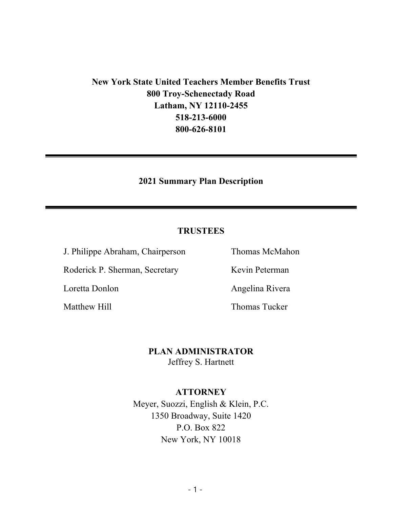## **New York State United Teachers Member Benefits Trust 800 Troy-Schenectady Road Latham, NY 12110-2455 518-213-6000 800-626-8101**

#### **2021 Summary Plan Description**

#### **TRUSTEES**

J. Philippe Abraham, Chairperson Thomas McMahon

Roderick P. Sherman, Secretary Kevin Peterman

Loretta Donlon Angelina Rivera

Matthew Hill **Matthew Hill** Thomas Tucker

**PLAN ADMINISTRATOR** Jeffrey S. Hartnett

#### **ATTORNEY**

Meyer, Suozzi, English & Klein, P.C. 1350 Broadway, Suite 1420 P.O. Box 822 New York, NY 10018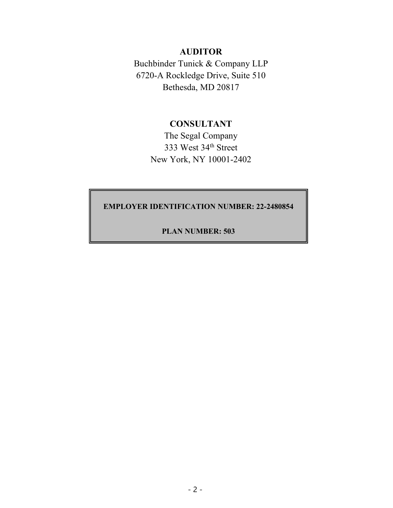#### **AUDITOR**

Buchbinder Tunick & Company LLP 6720-A Rockledge Drive, Suite 510 Bethesda, MD 20817

#### **CONSULTANT**

The Segal Company 333 West 34th Street New York, NY 10001-2402

#### **EMPLOYER IDENTIFICATION NUMBER: 22-2480854**

#### **PLAN NUMBER: 503**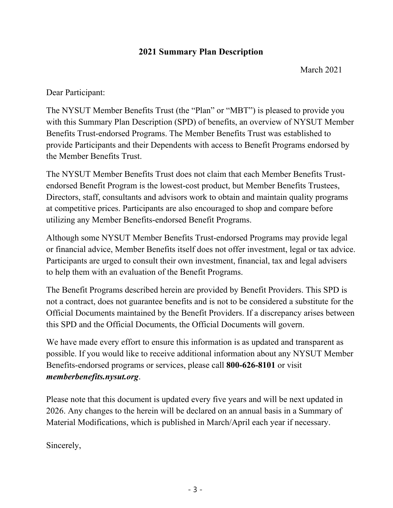#### **2021 Summary Plan Description**

March 2021

Dear Participant:

The NYSUT Member Benefits Trust (the "Plan" or "MBT") is pleased to provide you with this Summary Plan Description (SPD) of benefits, an overview of NYSUT Member Benefits Trust-endorsed Programs. The Member Benefits Trust was established to provide Participants and their Dependents with access to Benefit Programs endorsed by the Member Benefits Trust.

The NYSUT Member Benefits Trust does not claim that each Member Benefits Trustendorsed Benefit Program is the lowest-cost product, but Member Benefits Trustees, Directors, staff, consultants and advisors work to obtain and maintain quality programs at competitive prices. Participants are also encouraged to shop and compare before utilizing any Member Benefits-endorsed Benefit Programs.

Although some NYSUT Member Benefits Trust-endorsed Programs may provide legal or financial advice, Member Benefits itself does not offer investment, legal or tax advice. Participants are urged to consult their own investment, financial, tax and legal advisers to help them with an evaluation of the Benefit Programs.

The Benefit Programs described herein are provided by Benefit Providers. This SPD is not a contract, does not guarantee benefits and is not to be considered a substitute for the Official Documents maintained by the Benefit Providers. If a discrepancy arises between this SPD and the Official Documents, the Official Documents will govern.

We have made every effort to ensure this information is as updated and transparent as possible. If you would like to receive additional information about any NYSUT Member Benefits-endorsed programs or services, please call **800-626-8101** or visit *memberbenefits.nysut.org*.

Please note that this document is updated every five years and will be next updated in 2026. Any changes to the herein will be declared on an annual basis in a Summary of Material Modifications, which is published in March/April each year if necessary.

Sincerely,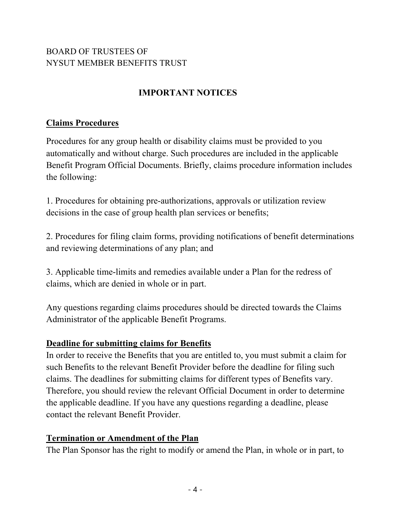### BOARD OF TRUSTEES OF NYSUT MEMBER BENEFITS TRUST

# **IMPORTANT NOTICES**

### **Claims Procedures**

Procedures for any group health or disability claims must be provided to you automatically and without charge. Such procedures are included in the applicable Benefit Program Official Documents. Briefly, claims procedure information includes the following:

1. Procedures for obtaining pre-authorizations, approvals or utilization review decisions in the case of group health plan services or benefits;

2. Procedures for filing claim forms, providing notifications of benefit determinations and reviewing determinations of any plan; and

3. Applicable time-limits and remedies available under a Plan for the redress of claims, which are denied in whole or in part.

Any questions regarding claims procedures should be directed towards the Claims Administrator of the applicable Benefit Programs.

### **Deadline for submitting claims for Benefits**

In order to receive the Benefits that you are entitled to, you must submit a claim for such Benefits to the relevant Benefit Provider before the deadline for filing such claims. The deadlines for submitting claims for different types of Benefits vary. Therefore, you should review the relevant Official Document in order to determine the applicable deadline. If you have any questions regarding a deadline, please contact the relevant Benefit Provider.

#### **Termination or Amendment of the Plan**

The Plan Sponsor has the right to modify or amend the Plan, in whole or in part, to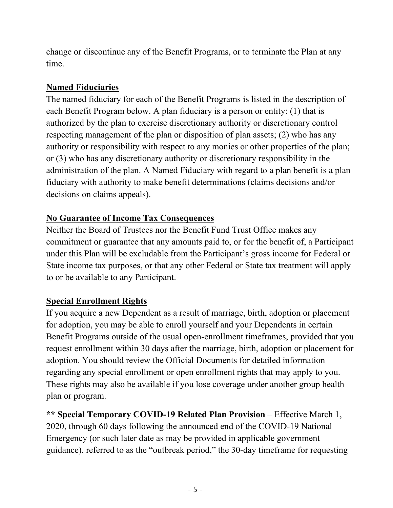change or discontinue any of the Benefit Programs, or to terminate the Plan at any time.

### **Named Fiduciaries**

The named fiduciary for each of the Benefit Programs is listed in the description of each Benefit Program below. A plan fiduciary is a person or entity: (1) that is authorized by the plan to exercise discretionary authority or discretionary control respecting management of the plan or disposition of plan assets; (2) who has any authority or responsibility with respect to any monies or other properties of the plan; or (3) who has any discretionary authority or discretionary responsibility in the administration of the plan. A Named Fiduciary with regard to a plan benefit is a plan fiduciary with authority to make benefit determinations (claims decisions and/or decisions on claims appeals).

### **No Guarantee of Income Tax Consequences**

Neither the Board of Trustees nor the Benefit Fund Trust Office makes any commitment or guarantee that any amounts paid to, or for the benefit of, a Participant under this Plan will be excludable from the Participant's gross income for Federal or State income tax purposes, or that any other Federal or State tax treatment will apply to or be available to any Participant.

### **Special Enrollment Rights**

If you acquire a new Dependent as a result of marriage, birth, adoption or placement for adoption, you may be able to enroll yourself and your Dependents in certain Benefit Programs outside of the usual open-enrollment timeframes, provided that you request enrollment within 30 days after the marriage, birth, adoption or placement for adoption. You should review the Official Documents for detailed information regarding any special enrollment or open enrollment rights that may apply to you. These rights may also be available if you lose coverage under another group health plan or program.

**\*\* Special Temporary COVID-19 Related Plan Provision** – Effective March 1, 2020, through 60 days following the announced end of the COVID-19 National Emergency (or such later date as may be provided in applicable government guidance), referred to as the "outbreak period," the 30-day timeframe for requesting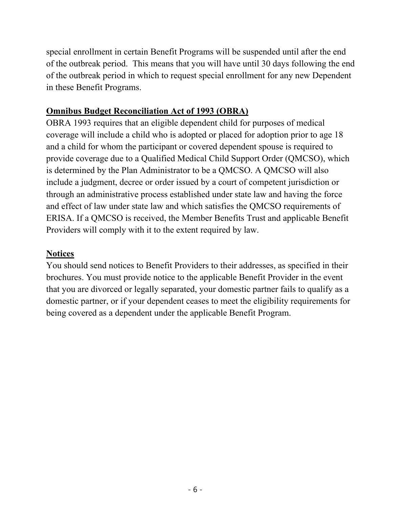special enrollment in certain Benefit Programs will be suspended until after the end of the outbreak period. This means that you will have until 30 days following the end of the outbreak period in which to request special enrollment for any new Dependent in these Benefit Programs.

#### **Omnibus Budget Reconciliation Act of 1993 (OBRA)**

OBRA 1993 requires that an eligible dependent child for purposes of medical coverage will include a child who is adopted or placed for adoption prior to age 18 and a child for whom the participant or covered dependent spouse is required to provide coverage due to a Qualified Medical Child Support Order (QMCSO), which is determined by the Plan Administrator to be a QMCSO. A QMCSO will also include a judgment, decree or order issued by a court of competent jurisdiction or through an administrative process established under state law and having the force and effect of law under state law and which satisfies the QMCSO requirements of ERISA. If a QMCSO is received, the Member Benefits Trust and applicable Benefit Providers will comply with it to the extent required by law.

#### **Notices**

You should send notices to Benefit Providers to their addresses, as specified in their brochures. You must provide notice to the applicable Benefit Provider in the event that you are divorced or legally separated, your domestic partner fails to qualify as a domestic partner, or if your dependent ceases to meet the eligibility requirements for being covered as a dependent under the applicable Benefit Program.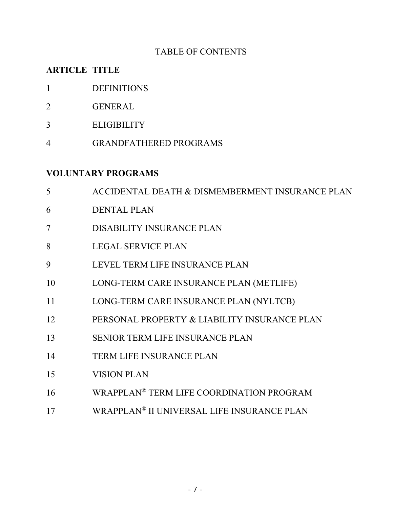#### TABLE OF CONTENTS

#### **ARTICLE TITLE**

- DEFINITIONS
- GENERAL
- ELIGIBILITY
- GRANDFATHERED PROGRAMS

#### **VOLUNTARY PROGRAMS**

- ACCIDENTAL DEATH & DISMEMBERMENT INSURANCE PLAN DENTAL PLAN DISABILITY INSURANCE PLAN LEGAL SERVICE PLAN LEVEL TERM LIFE INSURANCE PLAN LONG-TERM CARE INSURANCE PLAN (METLIFE) LONG-TERM CARE INSURANCE PLAN (NYLTCB) PERSONAL PROPERTY & LIABILITY INSURANCE PLAN SENIOR TERM LIFE INSURANCE PLAN TERM LIFE INSURANCE PLAN VISION PLAN WRAPPLAN® TERM LIFE COORDINATION PROGRAM
- WRAPPLAN® II UNIVERSAL LIFE INSURANCE PLAN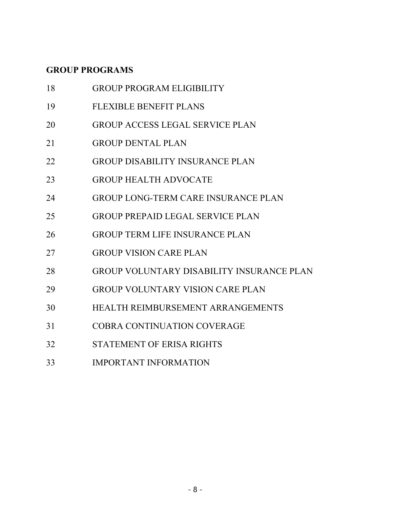# **GROUP PROGRAMS**

| 18 | <b>GROUP PROGRAM ELIGIBILITY</b>                 |
|----|--------------------------------------------------|
| 19 | <b>FLEXIBLE BENEFIT PLANS</b>                    |
| 20 | <b>GROUP ACCESS LEGAL SERVICE PLAN</b>           |
| 21 | <b>GROUP DENTAL PLAN</b>                         |
| 22 | <b>GROUP DISABILITY INSURANCE PLAN</b>           |
| 23 | <b>GROUP HEALTH ADVOCATE</b>                     |
| 24 | <b>GROUP LONG-TERM CARE INSURANCE PLAN</b>       |
| 25 | <b>GROUP PREPAID LEGAL SERVICE PLAN</b>          |
| 26 | <b>GROUP TERM LIFE INSURANCE PLAN</b>            |
| 27 | <b>GROUP VISION CARE PLAN</b>                    |
| 28 | <b>GROUP VOLUNTARY DISABILITY INSURANCE PLAN</b> |
| 29 | <b>GROUP VOLUNTARY VISION CARE PLAN</b>          |
| 30 | HEALTH REIMBURSEMENT ARRANGEMENTS                |
| 31 | COBRA CONTINUATION COVERAGE                      |
| 32 | STATEMENT OF ERISA RIGHTS                        |
| 33 | <b>IMPORTANT INFORMATION</b>                     |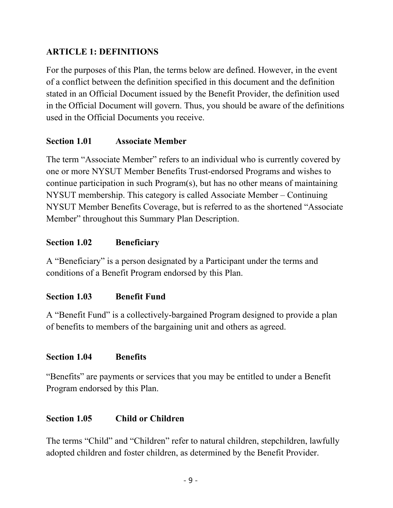### **ARTICLE 1: DEFINITIONS**

For the purposes of this Plan, the terms below are defined. However, in the event of a conflict between the definition specified in this document and the definition stated in an Official Document issued by the Benefit Provider, the definition used in the Official Document will govern. Thus, you should be aware of the definitions used in the Official Documents you receive.

### **Section 1.01 Associate Member**

The term "Associate Member" refers to an individual who is currently covered by one or more NYSUT Member Benefits Trust-endorsed Programs and wishes to continue participation in such Program(s), but has no other means of maintaining NYSUT membership. This category is called Associate Member – Continuing NYSUT Member Benefits Coverage, but is referred to as the shortened "Associate Member" throughout this Summary Plan Description.

### **Section 1.02 Beneficiary**

A "Beneficiary" is a person designated by a Participant under the terms and conditions of a Benefit Program endorsed by this Plan.

### **Section 1.03 Benefit Fund**

A "Benefit Fund" is a collectively-bargained Program designed to provide a plan of benefits to members of the bargaining unit and others as agreed.

### **Section 1.04 Benefits**

"Benefits" are payments or services that you may be entitled to under a Benefit Program endorsed by this Plan.

#### **Section 1.05 Child or Children**

The terms "Child" and "Children" refer to natural children, stepchildren, lawfully adopted children and foster children, as determined by the Benefit Provider.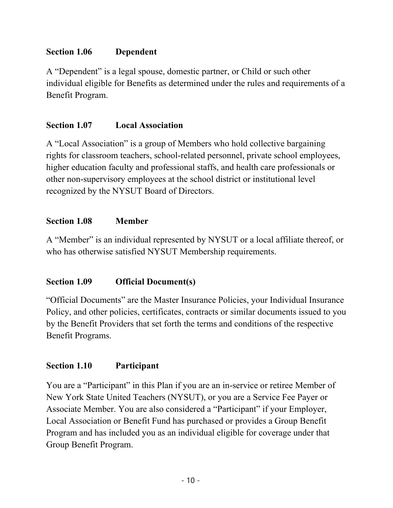#### **Section 1.06 Dependent**

A "Dependent" is a legal spouse, domestic partner, or Child or such other individual eligible for Benefits as determined under the rules and requirements of a Benefit Program.

#### **Section 1.07 Local Association**

A "Local Association" is a group of Members who hold collective bargaining rights for classroom teachers, school-related personnel, private school employees, higher education faculty and professional staffs, and health care professionals or other non-supervisory employees at the school district or institutional level recognized by the NYSUT Board of Directors.

### **Section 1.08 Member**

A "Member" is an individual represented by NYSUT or a local affiliate thereof, or who has otherwise satisfied NYSUT Membership requirements.

### **Section 1.09 Official Document(s)**

"Official Documents" are the Master Insurance Policies, your Individual Insurance Policy, and other policies, certificates, contracts or similar documents issued to you by the Benefit Providers that set forth the terms and conditions of the respective Benefit Programs.

#### **Section 1.10 Participant**

You are a "Participant" in this Plan if you are an in-service or retiree Member of New York State United Teachers (NYSUT), or you are a Service Fee Payer or Associate Member. You are also considered a "Participant" if your Employer, Local Association or Benefit Fund has purchased or provides a Group Benefit Program and has included you as an individual eligible for coverage under that Group Benefit Program.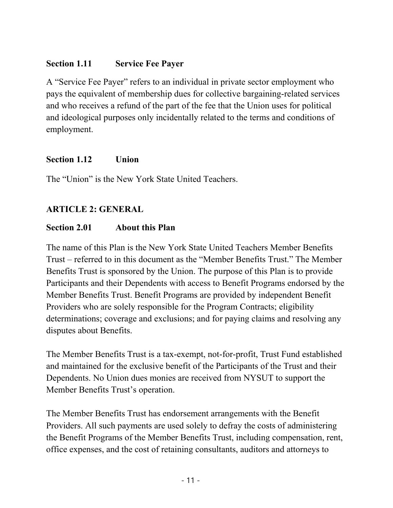### **Section 1.11 Service Fee Payer**

A "Service Fee Payer" refers to an individual in private sector employment who pays the equivalent of membership dues for collective bargaining-related services and who receives a refund of the part of the fee that the Union uses for political and ideological purposes only incidentally related to the terms and conditions of employment.

### **Section 1.12 Union**

The "Union" is the New York State United Teachers.

# **ARTICLE 2: GENERAL**

### **Section 2.01 About this Plan**

The name of this Plan is the New York State United Teachers Member Benefits Trust – referred to in this document as the "Member Benefits Trust." The Member Benefits Trust is sponsored by the Union. The purpose of this Plan is to provide Participants and their Dependents with access to Benefit Programs endorsed by the Member Benefits Trust. Benefit Programs are provided by independent Benefit Providers who are solely responsible for the Program Contracts; eligibility determinations; coverage and exclusions; and for paying claims and resolving any disputes about Benefits.

The Member Benefits Trust is a tax-exempt, not-for-profit, Trust Fund established and maintained for the exclusive benefit of the Participants of the Trust and their Dependents. No Union dues monies are received from NYSUT to support the Member Benefits Trust's operation.

The Member Benefits Trust has endorsement arrangements with the Benefit Providers. All such payments are used solely to defray the costs of administering the Benefit Programs of the Member Benefits Trust, including compensation, rent, office expenses, and the cost of retaining consultants, auditors and attorneys to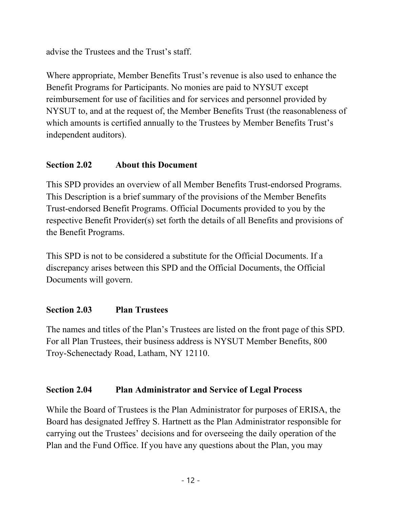advise the Trustees and the Trust's staff.

Where appropriate, Member Benefits Trust's revenue is also used to enhance the Benefit Programs for Participants. No monies are paid to NYSUT except reimbursement for use of facilities and for services and personnel provided by NYSUT to, and at the request of, the Member Benefits Trust (the reasonableness of which amounts is certified annually to the Trustees by Member Benefits Trust's independent auditors).

### **Section 2.02 About this Document**

This SPD provides an overview of all Member Benefits Trust-endorsed Programs. This Description is a brief summary of the provisions of the Member Benefits Trust-endorsed Benefit Programs. Official Documents provided to you by the respective Benefit Provider(s) set forth the details of all Benefits and provisions of the Benefit Programs.

This SPD is not to be considered a substitute for the Official Documents. If a discrepancy arises between this SPD and the Official Documents, the Official Documents will govern.

#### **Section 2.03 Plan Trustees**

The names and titles of the Plan's Trustees are listed on the front page of this SPD. For all Plan Trustees, their business address is NYSUT Member Benefits, 800 Troy-Schenectady Road, Latham, NY 12110.

#### **Section 2.04 Plan Administrator and Service of Legal Process**

While the Board of Trustees is the Plan Administrator for purposes of ERISA, the Board has designated Jeffrey S. Hartnett as the Plan Administrator responsible for carrying out the Trustees' decisions and for overseeing the daily operation of the Plan and the Fund Office. If you have any questions about the Plan, you may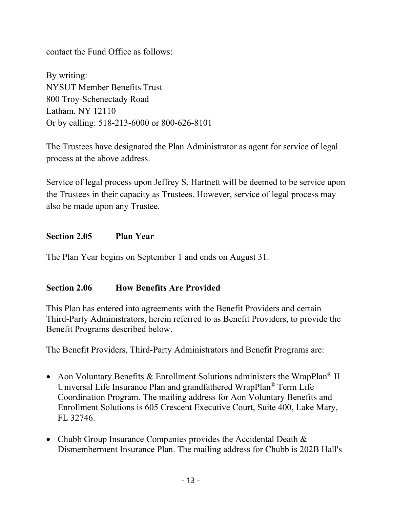contact the Fund Office as follows:

By writing: NYSUT Member Benefits Trust 800 Troy-Schenectady Road Latham, NY 12110 Or by calling: 518-213-6000 or 800-626-8101

The Trustees have designated the Plan Administrator as agent for service of legal process at the above address.

Service of legal process upon Jeffrey S. Hartnett will be deemed to be service upon the Trustees in their capacity as Trustees. However, service of legal process may also be made upon any Trustee.

#### **Section 2.05 Plan Year**

The Plan Year begins on September 1 and ends on August 31.

#### **Section 2.06 How Benefits Are Provided**

This Plan has entered into agreements with the Benefit Providers and certain Third-Party Administrators, herein referred to as Benefit Providers, to provide the Benefit Programs described below.

The Benefit Providers, Third-Party Administrators and Benefit Programs are:

- Aon Voluntary Benefits & Enrollment Solutions administers the WrapPlan<sup>®</sup> II Universal Life Insurance Plan and grandfathered WrapPlan® Term Life Coordination Program. The mailing address for Aon Voluntary Benefits and Enrollment Solutions is 605 Crescent Executive Court, Suite 400, Lake Mary, FL 32746.
- Chubb Group Insurance Companies provides the Accidental Death & Dismemberment Insurance Plan. The mailing address for Chubb is 202B Hall's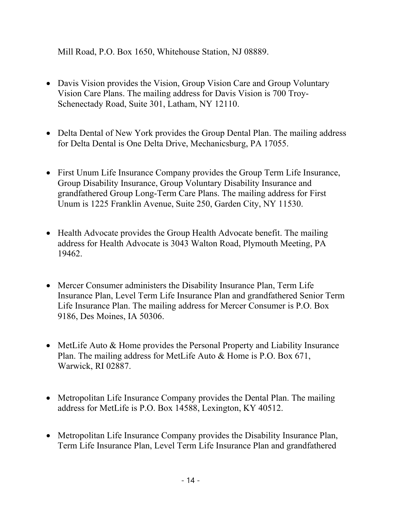Mill Road, P.O. Box 1650, Whitehouse Station, NJ 08889.

- Davis Vision provides the Vision, Group Vision Care and Group Voluntary Vision Care Plans. The mailing address for Davis Vision is 700 Troy-Schenectady Road, Suite 301, Latham, NY 12110.
- Delta Dental of New York provides the Group Dental Plan. The mailing address for Delta Dental is One Delta Drive, Mechanicsburg, PA 17055.
- First Unum Life Insurance Company provides the Group Term Life Insurance, Group Disability Insurance, Group Voluntary Disability Insurance and grandfathered Group Long-Term Care Plans. The mailing address for First Unum is 1225 Franklin Avenue, Suite 250, Garden City, NY 11530.
- Health Advocate provides the Group Health Advocate benefit. The mailing address for Health Advocate is 3043 Walton Road, Plymouth Meeting, PA 19462.
- Mercer Consumer administers the Disability Insurance Plan, Term Life Insurance Plan, Level Term Life Insurance Plan and grandfathered Senior Term Life Insurance Plan. The mailing address for Mercer Consumer is P.O. Box 9186, Des Moines, IA 50306.
- MetLife Auto & Home provides the Personal Property and Liability Insurance Plan. The mailing address for MetLife Auto & Home is P.O. Box 671, Warwick, RI 02887.
- Metropolitan Life Insurance Company provides the Dental Plan. The mailing address for MetLife is P.O. Box 14588, Lexington, KY 40512.
- Metropolitan Life Insurance Company provides the Disability Insurance Plan, Term Life Insurance Plan, Level Term Life Insurance Plan and grandfathered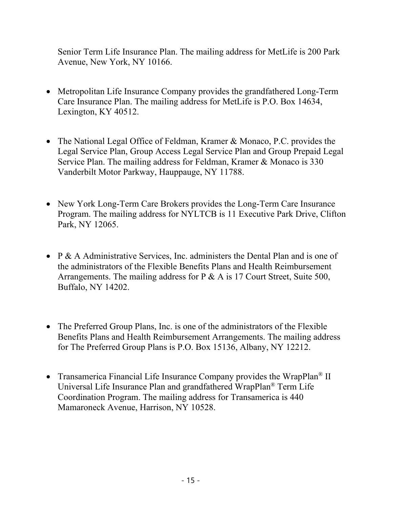Senior Term Life Insurance Plan. The mailing address for MetLife is 200 Park Avenue, New York, NY 10166.

- Metropolitan Life Insurance Company provides the grandfathered Long-Term Care Insurance Plan. The mailing address for MetLife is P.O. Box 14634, Lexington, KY 40512.
- The National Legal Office of Feldman, Kramer & Monaco, P.C. provides the Legal Service Plan, Group Access Legal Service Plan and Group Prepaid Legal Service Plan. The mailing address for Feldman, Kramer & Monaco is 330 Vanderbilt Motor Parkway, Hauppauge, NY 11788.
- New York Long-Term Care Brokers provides the Long-Term Care Insurance Program. The mailing address for NYLTCB is 11 Executive Park Drive, Clifton Park, NY 12065.
- P & A Administrative Services, Inc. administers the Dental Plan and is one of the administrators of the Flexible Benefits Plans and Health Reimbursement Arrangements. The mailing address for P & A is 17 Court Street, Suite 500, Buffalo, NY 14202.
- The Preferred Group Plans, Inc. is one of the administrators of the Flexible Benefits Plans and Health Reimbursement Arrangements. The mailing address for The Preferred Group Plans is P.O. Box 15136, Albany, NY 12212.
- Transamerica Financial Life Insurance Company provides the WrapPlan<sup>®</sup> II Universal Life Insurance Plan and grandfathered WrapPlan® Term Life Coordination Program. The mailing address for Transamerica is 440 Mamaroneck Avenue, Harrison, NY 10528.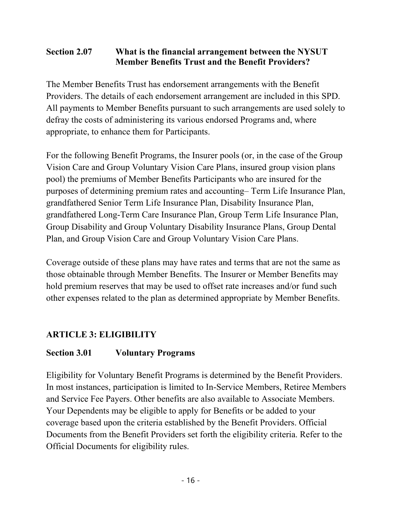### **Section 2.07 What is the financial arrangement between the NYSUT Member Benefits Trust and the Benefit Providers?**

The Member Benefits Trust has endorsement arrangements with the Benefit Providers. The details of each endorsement arrangement are included in this SPD. All payments to Member Benefits pursuant to such arrangements are used solely to defray the costs of administering its various endorsed Programs and, where appropriate, to enhance them for Participants.

For the following Benefit Programs, the Insurer pools (or, in the case of the Group Vision Care and Group Voluntary Vision Care Plans, insured group vision plans pool) the premiums of Member Benefits Participants who are insured for the purposes of determining premium rates and accounting– Term Life Insurance Plan, grandfathered Senior Term Life Insurance Plan, Disability Insurance Plan, grandfathered Long-Term Care Insurance Plan, Group Term Life Insurance Plan, Group Disability and Group Voluntary Disability Insurance Plans, Group Dental Plan, and Group Vision Care and Group Voluntary Vision Care Plans.

Coverage outside of these plans may have rates and terms that are not the same as those obtainable through Member Benefits. The Insurer or Member Benefits may hold premium reserves that may be used to offset rate increases and/or fund such other expenses related to the plan as determined appropriate by Member Benefits.

# **ARTICLE 3: ELIGIBILITY**

#### **Section 3.01 Voluntary Programs**

Eligibility for Voluntary Benefit Programs is determined by the Benefit Providers. In most instances, participation is limited to In-Service Members, Retiree Members and Service Fee Payers. Other benefits are also available to Associate Members. Your Dependents may be eligible to apply for Benefits or be added to your coverage based upon the criteria established by the Benefit Providers. Official Documents from the Benefit Providers set forth the eligibility criteria. Refer to the Official Documents for eligibility rules.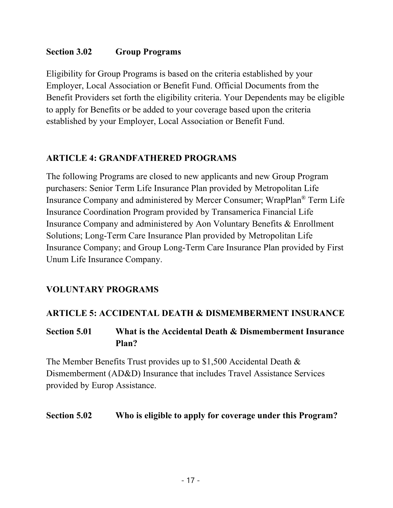#### **Section 3.02 Group Programs**

Eligibility for Group Programs is based on the criteria established by your Employer, Local Association or Benefit Fund. Official Documents from the Benefit Providers set forth the eligibility criteria. Your Dependents may be eligible to apply for Benefits or be added to your coverage based upon the criteria established by your Employer, Local Association or Benefit Fund.

### **ARTICLE 4: GRANDFATHERED PROGRAMS**

The following Programs are closed to new applicants and new Group Program purchasers: Senior Term Life Insurance Plan provided by Metropolitan Life Insurance Company and administered by Mercer Consumer; WrapPlan® Term Life Insurance Coordination Program provided by Transamerica Financial Life Insurance Company and administered by Aon Voluntary Benefits & Enrollment Solutions; Long-Term Care Insurance Plan provided by Metropolitan Life Insurance Company; and Group Long-Term Care Insurance Plan provided by First Unum Life Insurance Company.

#### **VOLUNTARY PROGRAMS**

#### **ARTICLE 5: ACCIDENTAL DEATH & DISMEMBERMENT INSURANCE**

### **Section 5.01 What is the Accidental Death & Dismemberment Insurance Plan?**

The Member Benefits Trust provides up to \$1,500 Accidental Death & Dismemberment (AD&D) Insurance that includes Travel Assistance Services provided by Europ Assistance.

#### **Section 5.02 Who is eligible to apply for coverage under this Program?**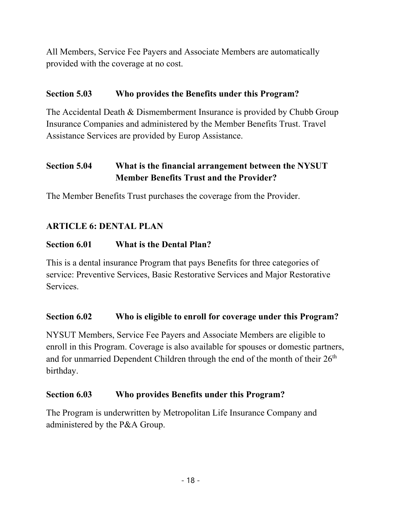All Members, Service Fee Payers and Associate Members are automatically provided with the coverage at no cost.

#### **Section 5.03 Who provides the Benefits under this Program?**

The Accidental Death & Dismemberment Insurance is provided by Chubb Group Insurance Companies and administered by the Member Benefits Trust. Travel Assistance Services are provided by Europ Assistance.

# **Section 5.04 What is the financial arrangement between the NYSUT Member Benefits Trust and the Provider?**

The Member Benefits Trust purchases the coverage from the Provider.

### **ARTICLE 6: DENTAL PLAN**

### **Section 6.01 What is the Dental Plan?**

This is a dental insurance Program that pays Benefits for three categories of service: Preventive Services, Basic Restorative Services and Major Restorative Services.

#### **Section 6.02 Who is eligible to enroll for coverage under this Program?**

NYSUT Members, Service Fee Payers and Associate Members are eligible to enroll in this Program. Coverage is also available for spouses or domestic partners, and for unmarried Dependent Children through the end of the month of their  $26<sup>th</sup>$ birthday.

#### **Section 6.03 Who provides Benefits under this Program?**

The Program is underwritten by Metropolitan Life Insurance Company and administered by the P&A Group.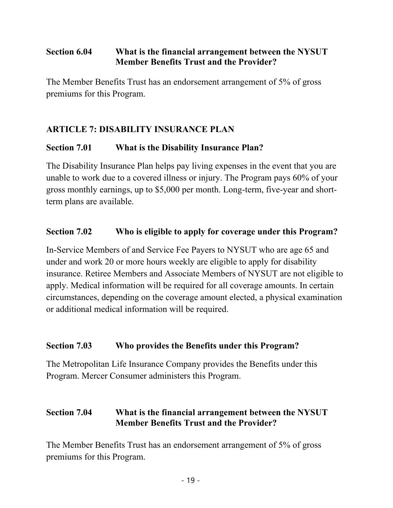### **Section 6.04 What is the financial arrangement between the NYSUT Member Benefits Trust and the Provider?**

The Member Benefits Trust has an endorsement arrangement of 5% of gross premiums for this Program.

# **ARTICLE 7: DISABILITY INSURANCE PLAN**

### **Section 7.01 What is the Disability Insurance Plan?**

The Disability Insurance Plan helps pay living expenses in the event that you are unable to work due to a covered illness or injury. The Program pays 60% of your gross monthly earnings, up to \$5,000 per month. Long-term, five-year and shortterm plans are available.

#### **Section 7.02 Who is eligible to apply for coverage under this Program?**

In-Service Members of and Service Fee Payers to NYSUT who are age 65 and under and work 20 or more hours weekly are eligible to apply for disability insurance. Retiree Members and Associate Members of NYSUT are not eligible to apply. Medical information will be required for all coverage amounts. In certain circumstances, depending on the coverage amount elected, a physical examination or additional medical information will be required.

#### **Section 7.03 Who provides the Benefits under this Program?**

The Metropolitan Life Insurance Company provides the Benefits under this Program. Mercer Consumer administers this Program.

### **Section 7.04 What is the financial arrangement between the NYSUT Member Benefits Trust and the Provider?**

The Member Benefits Trust has an endorsement arrangement of 5% of gross premiums for this Program.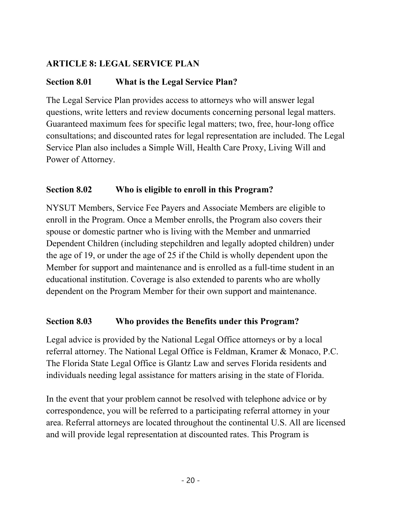## **ARTICLE 8: LEGAL SERVICE PLAN**

# **Section 8.01 What is the Legal Service Plan?**

The Legal Service Plan provides access to attorneys who will answer legal questions, write letters and review documents concerning personal legal matters. Guaranteed maximum fees for specific legal matters; two, free, hour-long office consultations; and discounted rates for legal representation are included. The Legal Service Plan also includes a Simple Will, Health Care Proxy, Living Will and Power of Attorney.

## **Section 8.02 Who is eligible to enroll in this Program?**

NYSUT Members, Service Fee Payers and Associate Members are eligible to enroll in the Program. Once a Member enrolls, the Program also covers their spouse or domestic partner who is living with the Member and unmarried Dependent Children (including stepchildren and legally adopted children) under the age of 19, or under the age of 25 if the Child is wholly dependent upon the Member for support and maintenance and is enrolled as a full-time student in an educational institution. Coverage is also extended to parents who are wholly dependent on the Program Member for their own support and maintenance.

### **Section 8.03 Who provides the Benefits under this Program?**

Legal advice is provided by the National Legal Office attorneys or by a local referral attorney. The National Legal Office is Feldman, Kramer & Monaco, P.C. The Florida State Legal Office is Glantz Law and serves Florida residents and individuals needing legal assistance for matters arising in the state of Florida.

In the event that your problem cannot be resolved with telephone advice or by correspondence, you will be referred to a participating referral attorney in your area. Referral attorneys are located throughout the continental U.S. All are licensed and will provide legal representation at discounted rates. This Program is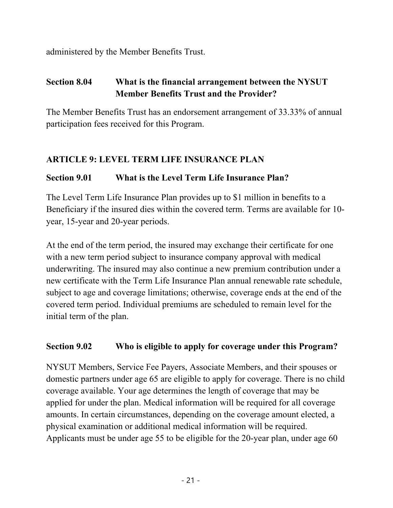administered by the Member Benefits Trust.

# **Section 8.04 What is the financial arrangement between the NYSUT Member Benefits Trust and the Provider?**

The Member Benefits Trust has an endorsement arrangement of 33.33% of annual participation fees received for this Program.

### **ARTICLE 9: LEVEL TERM LIFE INSURANCE PLAN**

## **Section 9.01 What is the Level Term Life Insurance Plan?**

The Level Term Life Insurance Plan provides up to \$1 million in benefits to a Beneficiary if the insured dies within the covered term. Terms are available for 10 year, 15-year and 20-year periods.

At the end of the term period, the insured may exchange their certificate for one with a new term period subject to insurance company approval with medical underwriting. The insured may also continue a new premium contribution under a new certificate with the Term Life Insurance Plan annual renewable rate schedule, subject to age and coverage limitations; otherwise, coverage ends at the end of the covered term period. Individual premiums are scheduled to remain level for the initial term of the plan.

### **Section 9.02 Who is eligible to apply for coverage under this Program?**

NYSUT Members, Service Fee Payers, Associate Members, and their spouses or domestic partners under age 65 are eligible to apply for coverage. There is no child coverage available. Your age determines the length of coverage that may be applied for under the plan. Medical information will be required for all coverage amounts. In certain circumstances, depending on the coverage amount elected, a physical examination or additional medical information will be required. Applicants must be under age 55 to be eligible for the 20-year plan, under age 60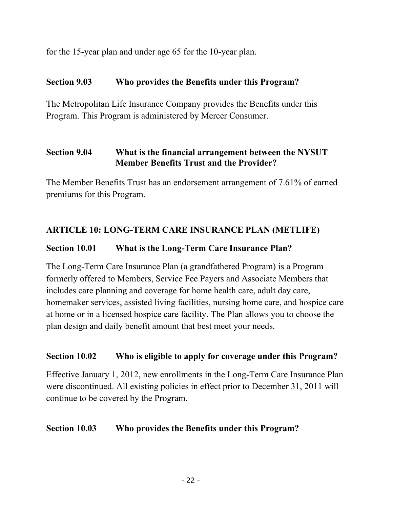for the 15-year plan and under age 65 for the 10-year plan.

#### **Section 9.03 Who provides the Benefits under this Program?**

The Metropolitan Life Insurance Company provides the Benefits under this Program. This Program is administered by Mercer Consumer.

### **Section 9.04 What is the financial arrangement between the NYSUT Member Benefits Trust and the Provider?**

The Member Benefits Trust has an endorsement arrangement of 7.61% of earned premiums for this Program.

### **ARTICLE 10: LONG-TERM CARE INSURANCE PLAN (METLIFE)**

### **Section 10.01 What is the Long-Term Care Insurance Plan?**

The Long-Term Care Insurance Plan (a grandfathered Program) is a Program formerly offered to Members, Service Fee Payers and Associate Members that includes care planning and coverage for home health care, adult day care, homemaker services, assisted living facilities, nursing home care, and hospice care at home or in a licensed hospice care facility. The Plan allows you to choose the plan design and daily benefit amount that best meet your needs.

#### **Section 10.02 Who is eligible to apply for coverage under this Program?**

Effective January 1, 2012, new enrollments in the Long-Term Care Insurance Plan were discontinued. All existing policies in effect prior to December 31, 2011 will continue to be covered by the Program.

#### **Section 10.03 Who provides the Benefits under this Program?**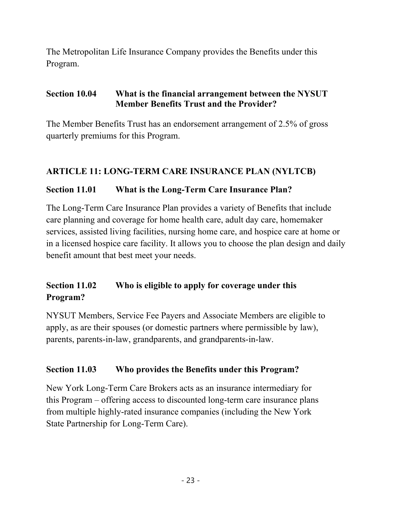The Metropolitan Life Insurance Company provides the Benefits under this Program.

#### **Section 10.04 What is the financial arrangement between the NYSUT Member Benefits Trust and the Provider?**

The Member Benefits Trust has an endorsement arrangement of 2.5% of gross quarterly premiums for this Program.

## **ARTICLE 11: LONG-TERM CARE INSURANCE PLAN (NYLTCB)**

### **Section 11.01 What is the Long-Term Care Insurance Plan?**

The Long-Term Care Insurance Plan provides a variety of Benefits that include care planning and coverage for home health care, adult day care, homemaker services, assisted living facilities, nursing home care, and hospice care at home or in a licensed hospice care facility. It allows you to choose the plan design and daily benefit amount that best meet your needs.

# **Section 11.02 Who is eligible to apply for coverage under this Program?**

NYSUT Members, Service Fee Payers and Associate Members are eligible to apply, as are their spouses (or domestic partners where permissible by law), parents, parents-in-law, grandparents, and grandparents-in-law.

### **Section 11.03 Who provides the Benefits under this Program?**

New York Long-Term Care Brokers acts as an insurance intermediary for this Program – offering access to discounted long-term care insurance plans from multiple highly-rated insurance companies (including the New York State Partnership for Long-Term Care).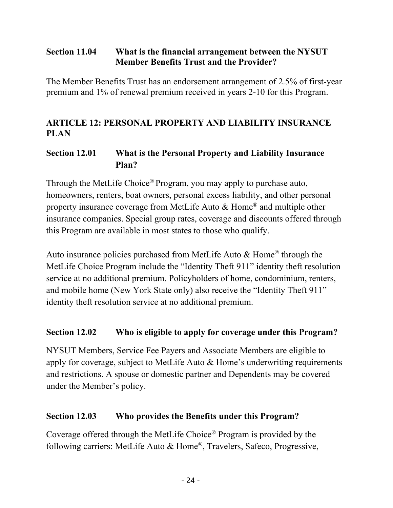### **Section 11.04 What is the financial arrangement between the NYSUT Member Benefits Trust and the Provider?**

The Member Benefits Trust has an endorsement arrangement of 2.5% of first-year premium and 1% of renewal premium received in years 2-10 for this Program.

### **ARTICLE 12: PERSONAL PROPERTY AND LIABILITY INSURANCE PLAN**

## **Section 12.01 What is the Personal Property and Liability Insurance Plan?**

Through the MetLife Choice® Program, you may apply to purchase auto, homeowners, renters, boat owners, personal excess liability, and other personal property insurance coverage from MetLife Auto & Home® and multiple other insurance companies. Special group rates, coverage and discounts offered through this Program are available in most states to those who qualify.

Auto insurance policies purchased from MetLife Auto & Home® through the MetLife Choice Program include the "Identity Theft 911" identity theft resolution service at no additional premium. Policyholders of home, condominium, renters, and mobile home (New York State only) also receive the "Identity Theft 911" identity theft resolution service at no additional premium.

#### **Section 12.02 Who is eligible to apply for coverage under this Program?**

NYSUT Members, Service Fee Payers and Associate Members are eligible to apply for coverage, subject to MetLife Auto & Home's underwriting requirements and restrictions. A spouse or domestic partner and Dependents may be covered under the Member's policy.

#### **Section 12.03 Who provides the Benefits under this Program?**

Coverage offered through the MetLife Choice® Program is provided by the following carriers: MetLife Auto & Home®, Travelers, Safeco, Progressive,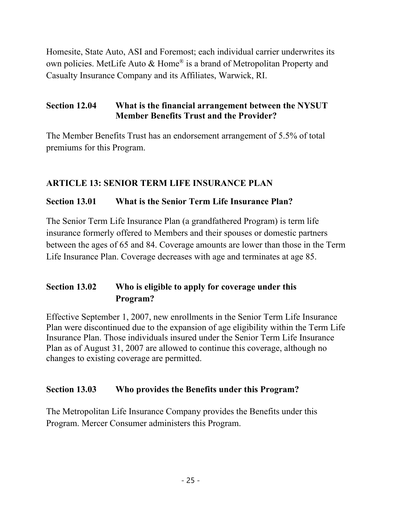Homesite, State Auto, ASI and Foremost; each individual carrier underwrites its own policies. MetLife Auto & Home® is a brand of Metropolitan Property and Casualty Insurance Company and its Affiliates, Warwick, RI.

### **Section 12.04 What is the financial arrangement between the NYSUT Member Benefits Trust and the Provider?**

The Member Benefits Trust has an endorsement arrangement of 5.5% of total premiums for this Program.

### **ARTICLE 13: SENIOR TERM LIFE INSURANCE PLAN**

### **Section 13.01 What is the Senior Term Life Insurance Plan?**

The Senior Term Life Insurance Plan (a grandfathered Program) is term life insurance formerly offered to Members and their spouses or domestic partners between the ages of 65 and 84. Coverage amounts are lower than those in the Term Life Insurance Plan. Coverage decreases with age and terminates at age 85.

# **Section 13.02 Who is eligible to apply for coverage under this Program?**

Effective September 1, 2007, new enrollments in the Senior Term Life Insurance Plan were discontinued due to the expansion of age eligibility within the Term Life Insurance Plan. Those individuals insured under the Senior Term Life Insurance Plan as of August 31, 2007 are allowed to continue this coverage, although no changes to existing coverage are permitted.

### **Section 13.03 Who provides the Benefits under this Program?**

The Metropolitan Life Insurance Company provides the Benefits under this Program. Mercer Consumer administers this Program.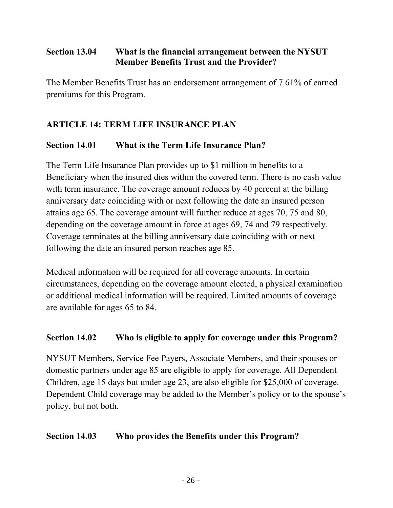### **Section 13.04 What is the financial arrangement between the NYSUT Member Benefits Trust and the Provider?**

The Member Benefits Trust has an endorsement arrangement of 7.61% of earned premiums for this Program.

# **ARTICLE 14: TERM LIFE INSURANCE PLAN**

### **Section 14.01 What is the Term Life Insurance Plan?**

The Term Life Insurance Plan provides up to \$1 million in benefits to a Beneficiary when the insured dies within the covered term. There is no cash value with term insurance. The coverage amount reduces by 40 percent at the billing anniversary date coinciding with or next following the date an insured person attains age 65. The coverage amount will further reduce at ages 70, 75 and 80, depending on the coverage amount in force at ages 69, 74 and 79 respectively. Coverage terminates at the billing anniversary date coinciding with or next following the date an insured person reaches age 85.

Medical information will be required for all coverage amounts. In certain circumstances, depending on the coverage amount elected, a physical examination or additional medical information will be required. Limited amounts of coverage are available for ages 65 to 84.

### **Section 14.02 Who is eligible to apply for coverage under this Program?**

NYSUT Members, Service Fee Payers, Associate Members, and their spouses or domestic partners under age 85 are eligible to apply for coverage. All Dependent Children, age 15 days but under age 23, are also eligible for \$25,000 of coverage. Dependent Child coverage may be added to the Member's policy or to the spouse's policy, but not both.

### **Section 14.03 Who provides the Benefits under this Program?**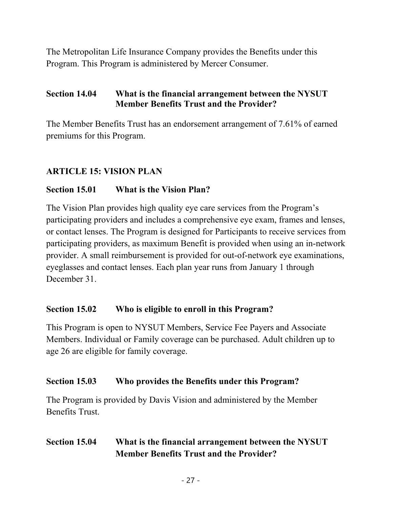The Metropolitan Life Insurance Company provides the Benefits under this Program. This Program is administered by Mercer Consumer.

#### **Section 14.04 What is the financial arrangement between the NYSUT Member Benefits Trust and the Provider?**

The Member Benefits Trust has an endorsement arrangement of 7.61% of earned premiums for this Program.

### **ARTICLE 15: VISION PLAN**

#### **Section 15.01 What is the Vision Plan?**

The Vision Plan provides high quality eye care services from the Program's participating providers and includes a comprehensive eye exam, frames and lenses, or contact lenses. The Program is designed for Participants to receive services from participating providers, as maximum Benefit is provided when using an in-network provider. A small reimbursement is provided for out-of-network eye examinations, eyeglasses and contact lenses. Each plan year runs from January 1 through December 31.

#### **Section 15.02 Who is eligible to enroll in this Program?**

This Program is open to NYSUT Members, Service Fee Payers and Associate Members. Individual or Family coverage can be purchased. Adult children up to age 26 are eligible for family coverage.

#### **Section 15.03 Who provides the Benefits under this Program?**

The Program is provided by Davis Vision and administered by the Member Benefits Trust.

### **Section 15.04 What is the financial arrangement between the NYSUT Member Benefits Trust and the Provider?**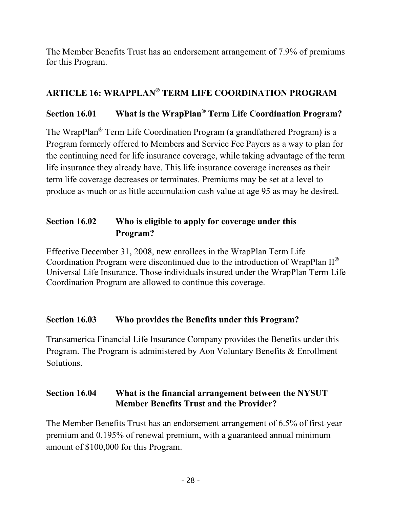The Member Benefits Trust has an endorsement arrangement of 7.9% of premiums for this Program.

## **ARTICLE 16: WRAPPLAN® TERM LIFE COORDINATION PROGRAM**

# **Section 16.01 What is the WrapPlan® Term Life Coordination Program?**

The WrapPlan® Term Life Coordination Program (a grandfathered Program) is a Program formerly offered to Members and Service Fee Payers as a way to plan for the continuing need for life insurance coverage, while taking advantage of the term life insurance they already have. This life insurance coverage increases as their term life coverage decreases or terminates. Premiums may be set at a level to produce as much or as little accumulation cash value at age 95 as may be desired.

# **Section 16.02 Who is eligible to apply for coverage under this Program?**

Effective December 31, 2008, new enrollees in the WrapPlan Term Life Coordination Program were discontinued due to the introduction of WrapPlan II**®** Universal Life Insurance. Those individuals insured under the WrapPlan Term Life Coordination Program are allowed to continue this coverage.

### **Section 16.03 Who provides the Benefits under this Program?**

Transamerica Financial Life Insurance Company provides the Benefits under this Program. The Program is administered by Aon Voluntary Benefits & Enrollment Solutions.

### **Section 16.04 What is the financial arrangement between the NYSUT Member Benefits Trust and the Provider?**

The Member Benefits Trust has an endorsement arrangement of 6.5% of first-year premium and 0.195% of renewal premium, with a guaranteed annual minimum amount of \$100,000 for this Program.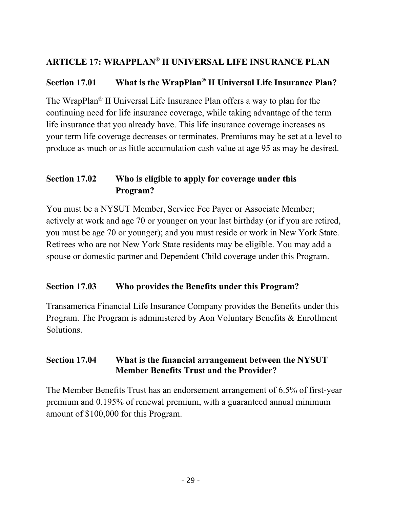## **ARTICLE 17: WRAPPLAN® II UNIVERSAL LIFE INSURANCE PLAN**

### **Section 17.01 What is the WrapPlan® II Universal Life Insurance Plan?**

The WrapPlan® II Universal Life Insurance Plan offers a way to plan for the continuing need for life insurance coverage, while taking advantage of the term life insurance that you already have. This life insurance coverage increases as your term life coverage decreases or terminates. Premiums may be set at a level to produce as much or as little accumulation cash value at age 95 as may be desired.

# **Section 17.02 Who is eligible to apply for coverage under this Program?**

You must be a NYSUT Member, Service Fee Payer or Associate Member; actively at work and age 70 or younger on your last birthday (or if you are retired, you must be age 70 or younger); and you must reside or work in New York State. Retirees who are not New York State residents may be eligible. You may add a spouse or domestic partner and Dependent Child coverage under this Program.

#### **Section 17.03 Who provides the Benefits under this Program?**

Transamerica Financial Life Insurance Company provides the Benefits under this Program. The Program is administered by Aon Voluntary Benefits & Enrollment Solutions.

#### **Section 17.04 What is the financial arrangement between the NYSUT Member Benefits Trust and the Provider?**

The Member Benefits Trust has an endorsement arrangement of 6.5% of first-year premium and 0.195% of renewal premium, with a guaranteed annual minimum amount of \$100,000 for this Program.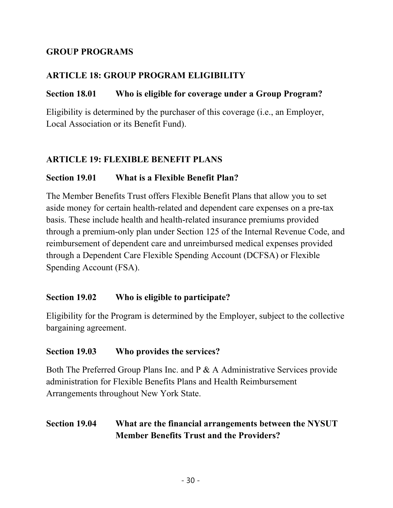### **GROUP PROGRAMS**

## **ARTICLE 18: GROUP PROGRAM ELIGIBILITY**

#### **Section 18.01 Who is eligible for coverage under a Group Program?**

Eligibility is determined by the purchaser of this coverage (i.e., an Employer, Local Association or its Benefit Fund).

### **ARTICLE 19: FLEXIBLE BENEFIT PLANS**

#### **Section 19.01 What is a Flexible Benefit Plan?**

The Member Benefits Trust offers Flexible Benefit Plans that allow you to set aside money for certain health-related and dependent care expenses on a pre-tax basis. These include health and health-related insurance premiums provided through a premium-only plan under Section 125 of the Internal Revenue Code, and reimbursement of dependent care and unreimbursed medical expenses provided through a Dependent Care Flexible Spending Account (DCFSA) or Flexible Spending Account (FSA).

#### **Section 19.02 Who is eligible to participate?**

Eligibility for the Program is determined by the Employer, subject to the collective bargaining agreement.

#### **Section 19.03 Who provides the services?**

Both The Preferred Group Plans Inc. and P & A Administrative Services provide administration for Flexible Benefits Plans and Health Reimbursement Arrangements throughout New York State.

### **Section 19.04 What are the financial arrangements between the NYSUT Member Benefits Trust and the Providers?**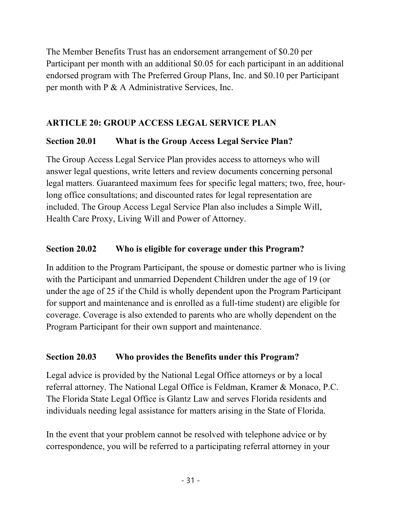The Member Benefits Trust has an endorsement arrangement of \$0.20 per Participant per month with an additional \$0.05 for each participant in an additional endorsed program with The Preferred Group Plans, Inc. and \$0.10 per Participant per month with P & A Administrative Services, Inc.

# **ARTICLE 20: GROUP ACCESS LEGAL SERVICE PLAN**

## **Section 20.01 What is the Group Access Legal Service Plan?**

The Group Access Legal Service Plan provides access to attorneys who will answer legal questions, write letters and review documents concerning personal legal matters. Guaranteed maximum fees for specific legal matters; two, free, hourlong office consultations; and discounted rates for legal representation are included. The Group Access Legal Service Plan also includes a Simple Will, Health Care Proxy, Living Will and Power of Attorney.

## **Section 20.02 Who is eligible for coverage under this Program?**

In addition to the Program Participant, the spouse or domestic partner who is living with the Participant and unmarried Dependent Children under the age of 19 (or under the age of 25 if the Child is wholly dependent upon the Program Participant for support and maintenance and is enrolled as a full-time student) are eligible for coverage. Coverage is also extended to parents who are wholly dependent on the Program Participant for their own support and maintenance.

# **Section 20.03 Who provides the Benefits under this Program?**

Legal advice is provided by the National Legal Office attorneys or by a local referral attorney. The National Legal Office is Feldman, Kramer & Monaco, P.C. The Florida State Legal Office is Glantz Law and serves Florida residents and individuals needing legal assistance for matters arising in the State of Florida.

In the event that your problem cannot be resolved with telephone advice or by correspondence, you will be referred to a participating referral attorney in your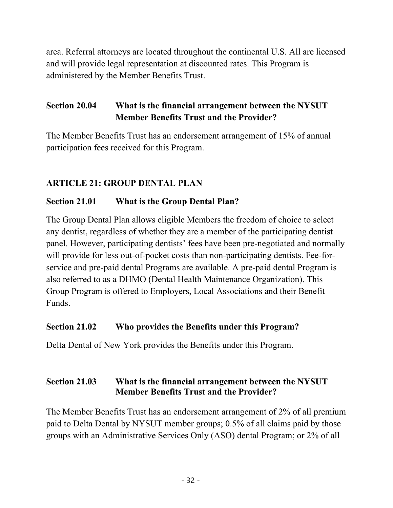area. Referral attorneys are located throughout the continental U.S. All are licensed and will provide legal representation at discounted rates. This Program is administered by the Member Benefits Trust.

# **Section 20.04 What is the financial arrangement between the NYSUT Member Benefits Trust and the Provider?**

The Member Benefits Trust has an endorsement arrangement of 15% of annual participation fees received for this Program.

## **ARTICLE 21: GROUP DENTAL PLAN**

### **Section 21.01 What is the Group Dental Plan?**

The Group Dental Plan allows eligible Members the freedom of choice to select any dentist, regardless of whether they are a member of the participating dentist panel. However, participating dentists' fees have been pre-negotiated and normally will provide for less out-of-pocket costs than non-participating dentists. Fee-forservice and pre-paid dental Programs are available. A pre-paid dental Program is also referred to as a DHMO (Dental Health Maintenance Organization). This Group Program is offered to Employers, Local Associations and their Benefit Funds.

#### **Section 21.02 Who provides the Benefits under this Program?**

Delta Dental of New York provides the Benefits under this Program.

### **Section 21.03 What is the financial arrangement between the NYSUT Member Benefits Trust and the Provider?**

The Member Benefits Trust has an endorsement arrangement of 2% of all premium paid to Delta Dental by NYSUT member groups; 0.5% of all claims paid by those groups with an Administrative Services Only (ASO) dental Program; or 2% of all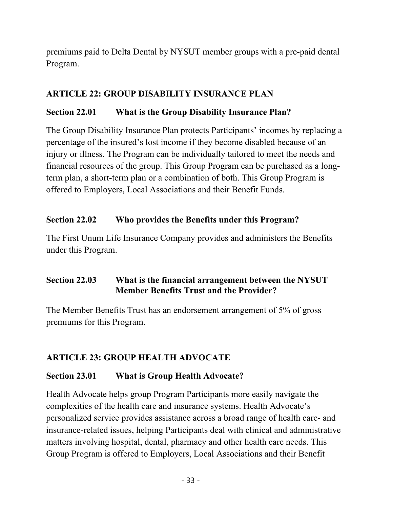premiums paid to Delta Dental by NYSUT member groups with a pre-paid dental Program.

### **ARTICLE 22: GROUP DISABILITY INSURANCE PLAN**

### **Section 22.01 What is the Group Disability Insurance Plan?**

The Group Disability Insurance Plan protects Participants' incomes by replacing a percentage of the insured's lost income if they become disabled because of an injury or illness. The Program can be individually tailored to meet the needs and financial resources of the group. This Group Program can be purchased as a longterm plan, a short-term plan or a combination of both. This Group Program is offered to Employers, Local Associations and their Benefit Funds.

### **Section 22.02 Who provides the Benefits under this Program?**

The First Unum Life Insurance Company provides and administers the Benefits under this Program.

### **Section 22.03 What is the financial arrangement between the NYSUT Member Benefits Trust and the Provider?**

The Member Benefits Trust has an endorsement arrangement of 5% of gross premiums for this Program.

### **ARTICLE 23: GROUP HEALTH ADVOCATE**

### **Section 23.01 What is Group Health Advocate?**

Health Advocate helps group Program Participants more easily navigate the complexities of the health care and insurance systems. Health Advocate's personalized service provides assistance across a broad range of health care- and insurance-related issues, helping Participants deal with clinical and administrative matters involving hospital, dental, pharmacy and other health care needs. This Group Program is offered to Employers, Local Associations and their Benefit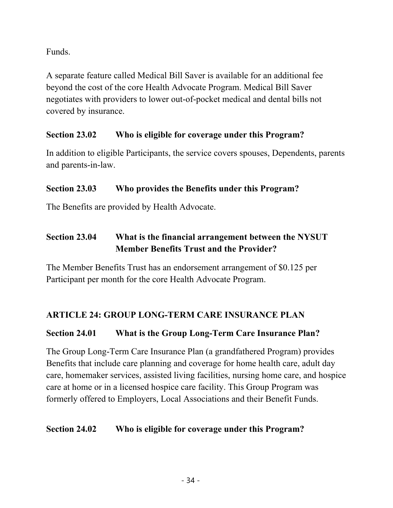Funds.

A separate feature called Medical Bill Saver is available for an additional fee beyond the cost of the core Health Advocate Program. Medical Bill Saver negotiates with providers to lower out-of-pocket medical and dental bills not covered by insurance.

### **Section 23.02 Who is eligible for coverage under this Program?**

In addition to eligible Participants, the service covers spouses, Dependents, parents and parents-in-law.

## **Section 23.03 Who provides the Benefits under this Program?**

The Benefits are provided by Health Advocate.

# **Section 23.04 What is the financial arrangement between the NYSUT Member Benefits Trust and the Provider?**

The Member Benefits Trust has an endorsement arrangement of \$0.125 per Participant per month for the core Health Advocate Program.

# **ARTICLE 24: GROUP LONG-TERM CARE INSURANCE PLAN**

# **Section 24.01 What is the Group Long-Term Care Insurance Plan?**

The Group Long-Term Care Insurance Plan (a grandfathered Program) provides Benefits that include care planning and coverage for home health care, adult day care, homemaker services, assisted living facilities, nursing home care, and hospice care at home or in a licensed hospice care facility. This Group Program was formerly offered to Employers, Local Associations and their Benefit Funds.

### **Section 24.02 Who is eligible for coverage under this Program?**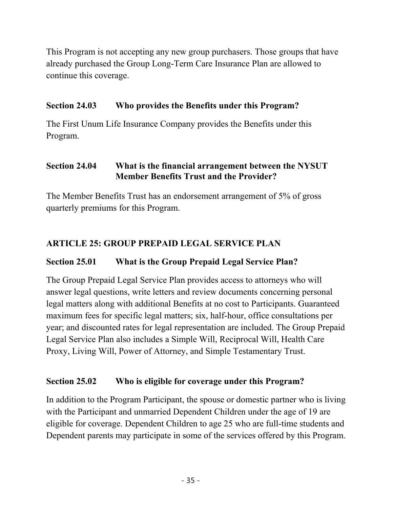This Program is not accepting any new group purchasers. Those groups that have already purchased the Group Long-Term Care Insurance Plan are allowed to continue this coverage.

#### **Section 24.03 Who provides the Benefits under this Program?**

The First Unum Life Insurance Company provides the Benefits under this Program.

#### **Section 24.04 What is the financial arrangement between the NYSUT Member Benefits Trust and the Provider?**

The Member Benefits Trust has an endorsement arrangement of 5% of gross quarterly premiums for this Program.

## **ARTICLE 25: GROUP PREPAID LEGAL SERVICE PLAN**

### **Section 25.01 What is the Group Prepaid Legal Service Plan?**

The Group Prepaid Legal Service Plan provides access to attorneys who will answer legal questions, write letters and review documents concerning personal legal matters along with additional Benefits at no cost to Participants. Guaranteed maximum fees for specific legal matters; six, half-hour, office consultations per year; and discounted rates for legal representation are included. The Group Prepaid Legal Service Plan also includes a Simple Will, Reciprocal Will, Health Care Proxy, Living Will, Power of Attorney, and Simple Testamentary Trust.

#### **Section 25.02 Who is eligible for coverage under this Program?**

In addition to the Program Participant, the spouse or domestic partner who is living with the Participant and unmarried Dependent Children under the age of 19 are eligible for coverage. Dependent Children to age 25 who are full-time students and Dependent parents may participate in some of the services offered by this Program.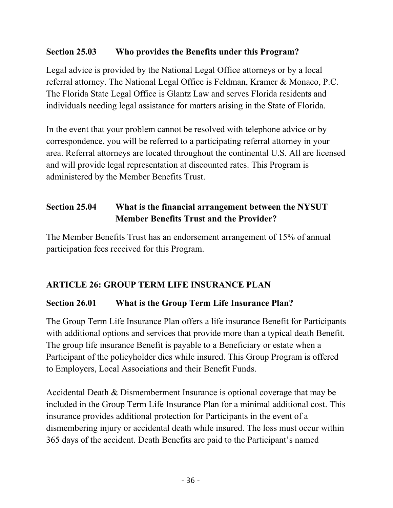### **Section 25.03 Who provides the Benefits under this Program?**

Legal advice is provided by the National Legal Office attorneys or by a local referral attorney. The National Legal Office is Feldman, Kramer & Monaco, P.C. The Florida State Legal Office is Glantz Law and serves Florida residents and individuals needing legal assistance for matters arising in the State of Florida.

In the event that your problem cannot be resolved with telephone advice or by correspondence, you will be referred to a participating referral attorney in your area. Referral attorneys are located throughout the continental U.S. All are licensed and will provide legal representation at discounted rates. This Program is administered by the Member Benefits Trust.

# **Section 25.04 What is the financial arrangement between the NYSUT Member Benefits Trust and the Provider?**

The Member Benefits Trust has an endorsement arrangement of 15% of annual participation fees received for this Program.

# **ARTICLE 26: GROUP TERM LIFE INSURANCE PLAN**

# **Section 26.01 What is the Group Term Life Insurance Plan?**

The Group Term Life Insurance Plan offers a life insurance Benefit for Participants with additional options and services that provide more than a typical death Benefit. The group life insurance Benefit is payable to a Beneficiary or estate when a Participant of the policyholder dies while insured. This Group Program is offered to Employers, Local Associations and their Benefit Funds.

Accidental Death & Dismemberment Insurance is optional coverage that may be included in the Group Term Life Insurance Plan for a minimal additional cost. This insurance provides additional protection for Participants in the event of a dismembering injury or accidental death while insured. The loss must occur within 365 days of the accident. Death Benefits are paid to the Participant's named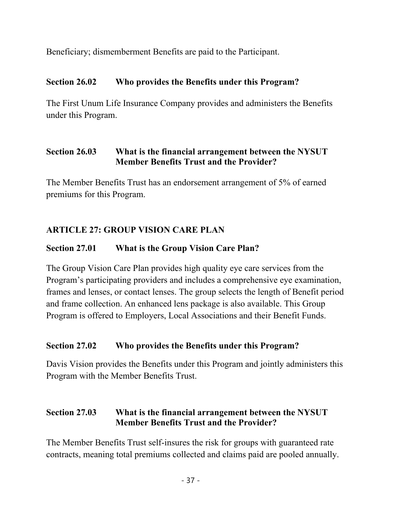Beneficiary; dismemberment Benefits are paid to the Participant.

### **Section 26.02 Who provides the Benefits under this Program?**

The First Unum Life Insurance Company provides and administers the Benefits under this Program.

### **Section 26.03 What is the financial arrangement between the NYSUT Member Benefits Trust and the Provider?**

The Member Benefits Trust has an endorsement arrangement of 5% of earned premiums for this Program.

# **ARTICLE 27: GROUP VISION CARE PLAN**

### **Section 27.01 What is the Group Vision Care Plan?**

The Group Vision Care Plan provides high quality eye care services from the Program's participating providers and includes a comprehensive eye examination, frames and lenses, or contact lenses. The group selects the length of Benefit period and frame collection. An enhanced lens package is also available. This Group Program is offered to Employers, Local Associations and their Benefit Funds.

#### **Section 27.02 Who provides the Benefits under this Program?**

Davis Vision provides the Benefits under this Program and jointly administers this Program with the Member Benefits Trust.

## **Section 27.03 What is the financial arrangement between the NYSUT Member Benefits Trust and the Provider?**

The Member Benefits Trust self-insures the risk for groups with guaranteed rate contracts, meaning total premiums collected and claims paid are pooled annually.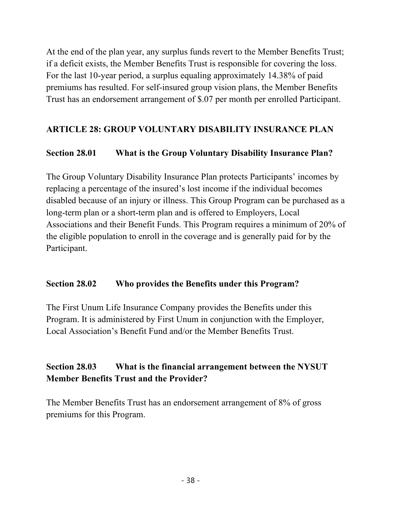At the end of the plan year, any surplus funds revert to the Member Benefits Trust; if a deficit exists, the Member Benefits Trust is responsible for covering the loss. For the last 10-year period, a surplus equaling approximately 14.38% of paid premiums has resulted. For self-insured group vision plans, the Member Benefits Trust has an endorsement arrangement of \$.07 per month per enrolled Participant.

### **ARTICLE 28: GROUP VOLUNTARY DISABILITY INSURANCE PLAN**

#### **Section 28.01 What is the Group Voluntary Disability Insurance Plan?**

The Group Voluntary Disability Insurance Plan protects Participants' incomes by replacing a percentage of the insured's lost income if the individual becomes disabled because of an injury or illness. This Group Program can be purchased as a long-term plan or a short-term plan and is offered to Employers, Local Associations and their Benefit Funds. This Program requires a minimum of 20% of the eligible population to enroll in the coverage and is generally paid for by the Participant.

#### **Section 28.02 Who provides the Benefits under this Program?**

The First Unum Life Insurance Company provides the Benefits under this Program. It is administered by First Unum in conjunction with the Employer, Local Association's Benefit Fund and/or the Member Benefits Trust.

## **Section 28.03 What is the financial arrangement between the NYSUT Member Benefits Trust and the Provider?**

The Member Benefits Trust has an endorsement arrangement of 8% of gross premiums for this Program.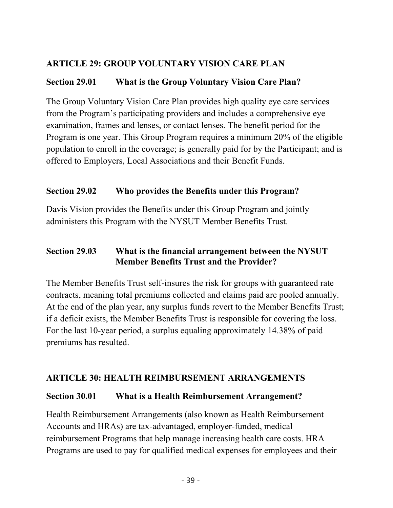### **ARTICLE 29: GROUP VOLUNTARY VISION CARE PLAN**

### **Section 29.01 What is the Group Voluntary Vision Care Plan?**

The Group Voluntary Vision Care Plan provides high quality eye care services from the Program's participating providers and includes a comprehensive eye examination, frames and lenses, or contact lenses. The benefit period for the Program is one year. This Group Program requires a minimum 20% of the eligible population to enroll in the coverage; is generally paid for by the Participant; and is offered to Employers, Local Associations and their Benefit Funds.

### **Section 29.02 Who provides the Benefits under this Program?**

Davis Vision provides the Benefits under this Group Program and jointly administers this Program with the NYSUT Member Benefits Trust.

### **Section 29.03 What is the financial arrangement between the NYSUT Member Benefits Trust and the Provider?**

The Member Benefits Trust self-insures the risk for groups with guaranteed rate contracts, meaning total premiums collected and claims paid are pooled annually. At the end of the plan year, any surplus funds revert to the Member Benefits Trust; if a deficit exists, the Member Benefits Trust is responsible for covering the loss. For the last 10-year period, a surplus equaling approximately 14.38% of paid premiums has resulted.

### **ARTICLE 30: HEALTH REIMBURSEMENT ARRANGEMENTS**

### **Section 30.01 What is a Health Reimbursement Arrangement?**

Health Reimbursement Arrangements (also known as Health Reimbursement Accounts and HRAs) are tax-advantaged, employer-funded, medical reimbursement Programs that help manage increasing health care costs. HRA Programs are used to pay for qualified medical expenses for employees and their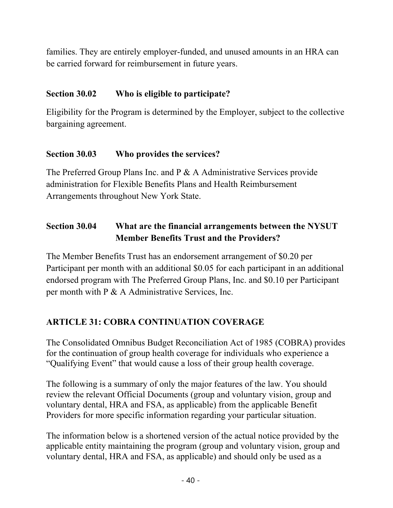families. They are entirely employer-funded, and unused amounts in an HRA can be carried forward for reimbursement in future years.

### **Section 30.02 Who is eligible to participate?**

Eligibility for the Program is determined by the Employer, subject to the collective bargaining agreement.

### **Section 30.03 Who provides the services?**

The Preferred Group Plans Inc. and P & A Administrative Services provide administration for Flexible Benefits Plans and Health Reimbursement Arrangements throughout New York State.

# **Section 30.04 What are the financial arrangements between the NYSUT Member Benefits Trust and the Providers?**

The Member Benefits Trust has an endorsement arrangement of \$0.20 per Participant per month with an additional \$0.05 for each participant in an additional endorsed program with The Preferred Group Plans, Inc. and \$0.10 per Participant per month with P & A Administrative Services, Inc.

# **ARTICLE 31: COBRA CONTINUATION COVERAGE**

The Consolidated Omnibus Budget Reconciliation Act of 1985 (COBRA) provides for the continuation of group health coverage for individuals who experience a "Qualifying Event" that would cause a loss of their group health coverage.

The following is a summary of only the major features of the law. You should review the relevant Official Documents (group and voluntary vision, group and voluntary dental, HRA and FSA, as applicable) from the applicable Benefit Providers for more specific information regarding your particular situation.

The information below is a shortened version of the actual notice provided by the applicable entity maintaining the program (group and voluntary vision, group and voluntary dental, HRA and FSA, as applicable) and should only be used as a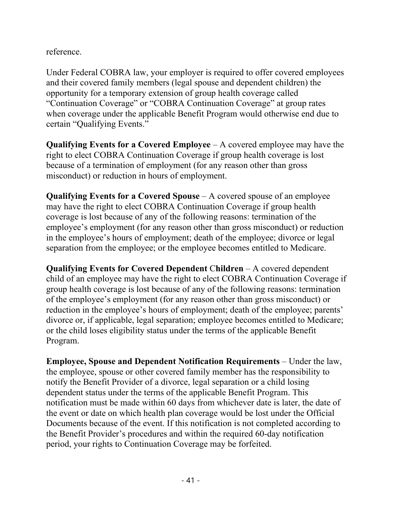reference.

Under Federal COBRA law, your employer is required to offer covered employees and their covered family members (legal spouse and dependent children) the opportunity for a temporary extension of group health coverage called "Continuation Coverage" or "COBRA Continuation Coverage" at group rates when coverage under the applicable Benefit Program would otherwise end due to certain "Qualifying Events."

**Qualifying Events for a Covered Employee** – A covered employee may have the right to elect COBRA Continuation Coverage if group health coverage is lost because of a termination of employment (for any reason other than gross misconduct) or reduction in hours of employment.

**Qualifying Events for a Covered Spouse** – A covered spouse of an employee may have the right to elect COBRA Continuation Coverage if group health coverage is lost because of any of the following reasons: termination of the employee's employment (for any reason other than gross misconduct) or reduction in the employee's hours of employment; death of the employee; divorce or legal separation from the employee; or the employee becomes entitled to Medicare.

**Qualifying Events for Covered Dependent** C**hildren** – A covered dependent child of an employee may have the right to elect COBRA Continuation Coverage if group health coverage is lost because of any of the following reasons: termination of the employee's employment (for any reason other than gross misconduct) or reduction in the employee's hours of employment; death of the employee; parents' divorce or, if applicable, legal separation; employee becomes entitled to Medicare; or the child loses eligibility status under the terms of the applicable Benefit Program.

**Employee, Spouse and Dependent Notification Requirements** – Under the law, the employee, spouse or other covered family member has the responsibility to notify the Benefit Provider of a divorce, legal separation or a child losing dependent status under the terms of the applicable Benefit Program. This notification must be made within 60 days from whichever date is later, the date of the event or date on which health plan coverage would be lost under the Official Documents because of the event. If this notification is not completed according to the Benefit Provider's procedures and within the required 60-day notification period, your rights to Continuation Coverage may be forfeited.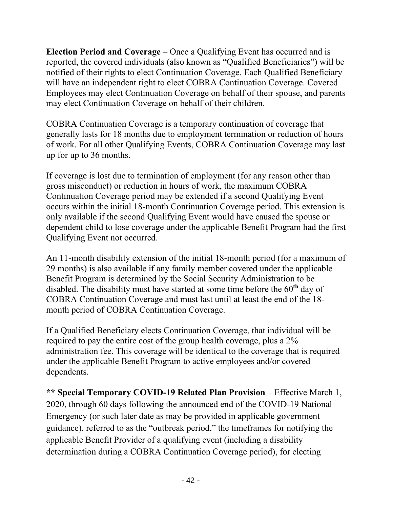**Election Period and Coverage** – Once a Qualifying Event has occurred and is reported, the covered individuals (also known as "Qualified Beneficiaries") will be notified of their rights to elect Continuation Coverage. Each Qualified Beneficiary will have an independent right to elect COBRA Continuation Coverage. Covered Employees may elect Continuation Coverage on behalf of their spouse, and parents may elect Continuation Coverage on behalf of their children.

COBRA Continuation Coverage is a temporary continuation of coverage that generally lasts for 18 months due to employment termination or reduction of hours of work. For all other Qualifying Events, COBRA Continuation Coverage may last up for up to 36 months.

If coverage is lost due to termination of employment (for any reason other than gross misconduct) or reduction in hours of work, the maximum COBRA Continuation Coverage period may be extended if a second Qualifying Event occurs within the initial 18-month Continuation Coverage period. This extension is only available if the second Qualifying Event would have caused the spouse or dependent child to lose coverage under the applicable Benefit Program had the first Qualifying Event not occurred.

An 11-month disability extension of the initial 18-month period (for a maximum of 29 months) is also available if any family member covered under the applicable Benefit Program is determined by the Social Security Administration to be disabled. The disability must have started at some time before the 60**th** day of COBRA Continuation Coverage and must last until at least the end of the 18 month period of COBRA Continuation Coverage.

If a Qualified Beneficiary elects Continuation Coverage, that individual will be required to pay the entire cost of the group health coverage, plus a 2% administration fee. This coverage will be identical to the coverage that is required under the applicable Benefit Program to active employees and/or covered dependents.

**\*\* Special Temporary COVID-19 Related Plan Provision** – Effective March 1, 2020, through 60 days following the announced end of the COVID-19 National Emergency (or such later date as may be provided in applicable government guidance), referred to as the "outbreak period," the timeframes for notifying the applicable Benefit Provider of a qualifying event (including a disability determination during a COBRA Continuation Coverage period), for electing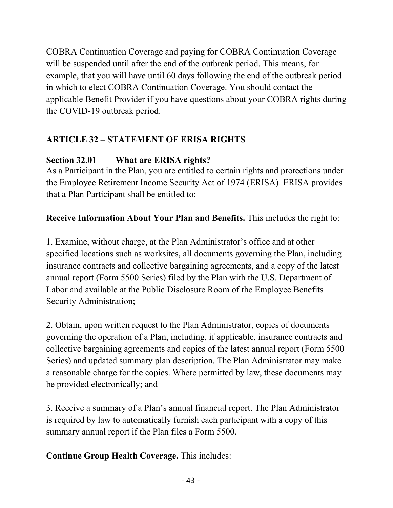COBRA Continuation Coverage and paying for COBRA Continuation Coverage will be suspended until after the end of the outbreak period. This means, for example, that you will have until 60 days following the end of the outbreak period in which to elect COBRA Continuation Coverage. You should contact the applicable Benefit Provider if you have questions about your COBRA rights during the COVID-19 outbreak period.

# **ARTICLE 32 – STATEMENT OF ERISA RIGHTS**

# **Section 32.01 What are ERISA rights?**

As a Participant in the Plan, you are entitled to certain rights and protections under the Employee Retirement Income Security Act of 1974 (ERISA). ERISA provides that a Plan Participant shall be entitled to:

# **Receive Information About Your Plan and Benefits.** This includes the right to:

1. Examine, without charge, at the Plan Administrator's office and at other specified locations such as worksites, all documents governing the Plan, including insurance contracts and collective bargaining agreements, and a copy of the latest annual report (Form 5500 Series) filed by the Plan with the U.S. Department of Labor and available at the Public Disclosure Room of the Employee Benefits Security Administration;

2. Obtain, upon written request to the Plan Administrator, copies of documents governing the operation of a Plan, including, if applicable, insurance contracts and collective bargaining agreements and copies of the latest annual report (Form 5500 Series) and updated summary plan description. The Plan Administrator may make a reasonable charge for the copies. Where permitted by law, these documents may be provided electronically; and

3. Receive a summary of a Plan's annual financial report. The Plan Administrator is required by law to automatically furnish each participant with a copy of this summary annual report if the Plan files a Form 5500.

**Continue Group Health Coverage.** This includes: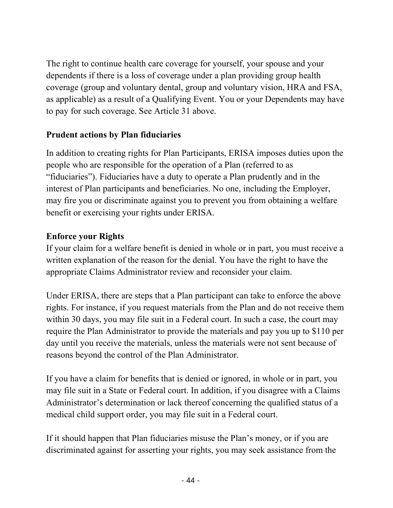The right to continue health care coverage for yourself, your spouse and your dependents if there is a loss of coverage under a plan providing group health coverage (group and voluntary dental, group and voluntary vision, HRA and FSA, as applicable) as a result of a Qualifying Event. You or your Dependents may have to pay for such coverage. See Article 31 above.

### **Prudent actions by Plan fiduciaries**

In addition to creating rights for Plan Participants, ERISA imposes duties upon the people who are responsible for the operation of a Plan (referred to as "fiduciaries"). Fiduciaries have a duty to operate a Plan prudently and in the interest of Plan participants and beneficiaries. No one, including the Employer, may fire you or discriminate against you to prevent you from obtaining a welfare benefit or exercising your rights under ERISA.

### **Enforce your Rights**

If your claim for a welfare benefit is denied in whole or in part, you must receive a written explanation of the reason for the denial. You have the right to have the appropriate Claims Administrator review and reconsider your claim.

Under ERISA, there are steps that a Plan participant can take to enforce the above rights. For instance, if you request materials from the Plan and do not receive them within 30 days, you may file suit in a Federal court. In such a case, the court may require the Plan Administrator to provide the materials and pay you up to \$110 per day until you receive the materials, unless the materials were not sent because of reasons beyond the control of the Plan Administrator.

If you have a claim for benefits that is denied or ignored, in whole or in part, you may file suit in a State or Federal court. In addition, if you disagree with a Claims Administrator's determination or lack thereof concerning the qualified status of a medical child support order, you may file suit in a Federal court.

If it should happen that Plan fiduciaries misuse the Plan's money, or if you are discriminated against for asserting your rights, you may seek assistance from the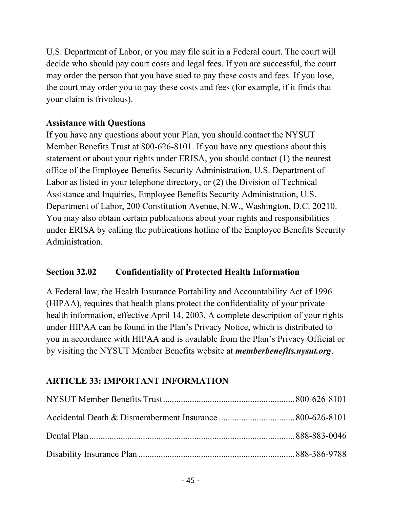U.S. Department of Labor, or you may file suit in a Federal court. The court will decide who should pay court costs and legal fees. If you are successful, the court may order the person that you have sued to pay these costs and fees. If you lose, the court may order you to pay these costs and fees (for example, if it finds that your claim is frivolous).

### **Assistance with Questions**

If you have any questions about your Plan, you should contact the NYSUT Member Benefits Trust at 800-626-8101. If you have any questions about this statement or about your rights under ERISA, you should contact (1) the nearest office of the Employee Benefits Security Administration, U.S. Department of Labor as listed in your telephone directory, or (2) the Division of Technical Assistance and Inquiries, Employee Benefits Security Administration, U.S. Department of Labor, 200 Constitution Avenue, N.W., Washington, D.C. 20210. You may also obtain certain publications about your rights and responsibilities under ERISA by calling the publications hotline of the Employee Benefits Security Administration.

### **Section 32.02 Confidentiality of Protected Health Information**

A Federal law, the Health Insurance Portability and Accountability Act of 1996 (HIPAA), requires that health plans protect the confidentiality of your private health information, effective April 14, 2003. A complete description of your rights under HIPAA can be found in the Plan's Privacy Notice, which is distributed to you in accordance with HIPAA and is available from the Plan's Privacy Official or by visiting the NYSUT Member Benefits website at *memberbenefits.nysut.org*.

### **ARTICLE 33: IMPORTANT INFORMATION**